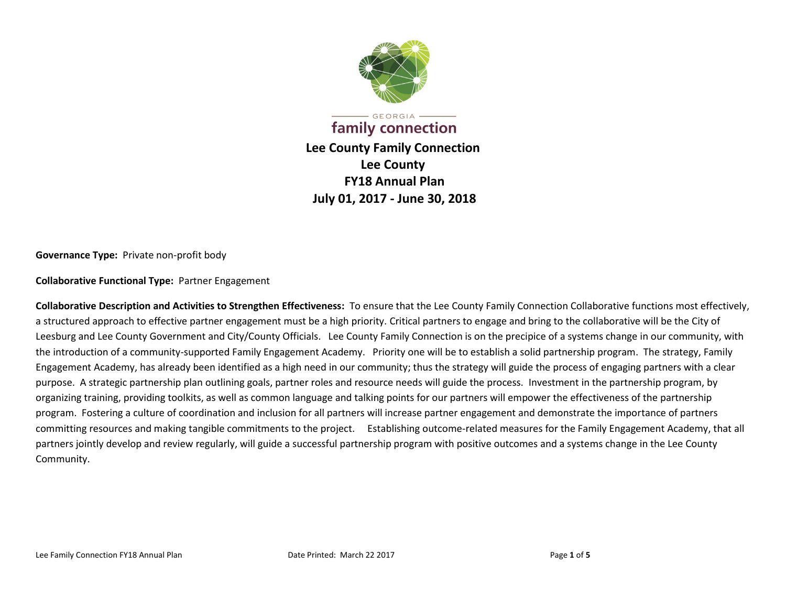

family connection **Lee County Family Connection Lee County FY18 Annual Plan July 01, 2017 - June 30, 2018** 

**Governance Type:** Private non-profit body

**Collaborative Functional Type:** Partner Engagement

**Collaborative Description and Activities to Strengthen Effectiveness:** To ensure that the Lee County Family Connection Collaborative functions most effectively, a structured approach to effective partner engagement must be a high priority. Critical partners to engage and bring to the collaborative will be the City of Leesburg and Lee County Government and City/County Officials. Lee County Family Connection is on the precipice of a systems change in our community, with the introduction of a community-supported Family Engagement Academy. Priority one will be to establish a solid partnership program. The strategy, Family Engagement Academy, has already been identified as a high need in our community; thus the strategy will guide the process of engaging partners with a clear purpose. A strategic partnership plan outlining goals, partner roles and resource needs will guide the process. Investment in the partnership program, by organizing training, providing toolkits, as well as common language and talking points for our partners will empower the effectiveness of the partnership program. Fostering a culture of coordination and inclusion for all partners will increase partner engagement and demonstrate the importance of partners committing resources and making tangible commitments to the project. Establishing outcome-related measures for the Family Engagement Academy, that all partners jointly develop and review regularly, will guide a successful partnership program with positive outcomes and a systems change in the Lee County Community.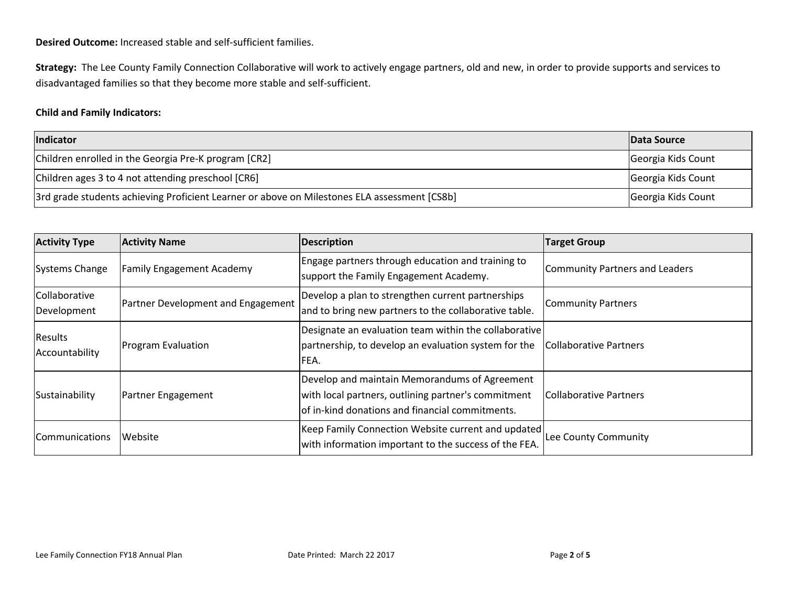**Desired Outcome:** Increased stable and self-sufficient families.

**Strategy:** The Lee County Family Connection Collaborative will work to actively engage partners, old and new, in order to provide supports and services to disadvantaged families so that they become more stable and self-sufficient.

## **Child and Family Indicators:**

| Indicator                                                                                           | Data Source        |
|-----------------------------------------------------------------------------------------------------|--------------------|
| Children enrolled in the Georgia Pre-K program [CR2]                                                | Georgia Kids Count |
| Children ages 3 to 4 not attending preschool [CR6]                                                  | Georgia Kids Count |
| [CS8b] 3rd grade students achieving Proficient Learner or above on Milestones ELA assessment [CS8b] | Georgia Kids Count |

| <b>Activity Type</b>             | <b>Activity Name</b>               | Description                                                                                                                                             | Target Group                   |
|----------------------------------|------------------------------------|---------------------------------------------------------------------------------------------------------------------------------------------------------|--------------------------------|
| Systems Change                   | <b>Family Engagement Academy</b>   | Engage partners through education and training to<br>support the Family Engagement Academy.                                                             | Community Partners and Leaders |
| Collaborative<br>Development     | Partner Development and Engagement | Develop a plan to strengthen current partnerships<br>and to bring new partners to the collaborative table.                                              | Community Partners             |
| <b>Results</b><br>Accountability | Program Evaluation                 | Designate an evaluation team within the collaborative<br>partnership, to develop an evaluation system for the<br>FEA.                                   | Collaborative Partners         |
| Sustainability                   | Partner Engagement                 | Develop and maintain Memorandums of Agreement<br>with local partners, outlining partner's commitment<br>of in-kind donations and financial commitments. | Collaborative Partners         |
| Communications                   | Website                            | Keep Family Connection Website current and updated<br>with information important to the success of the FEA.                                             | Lee County Community           |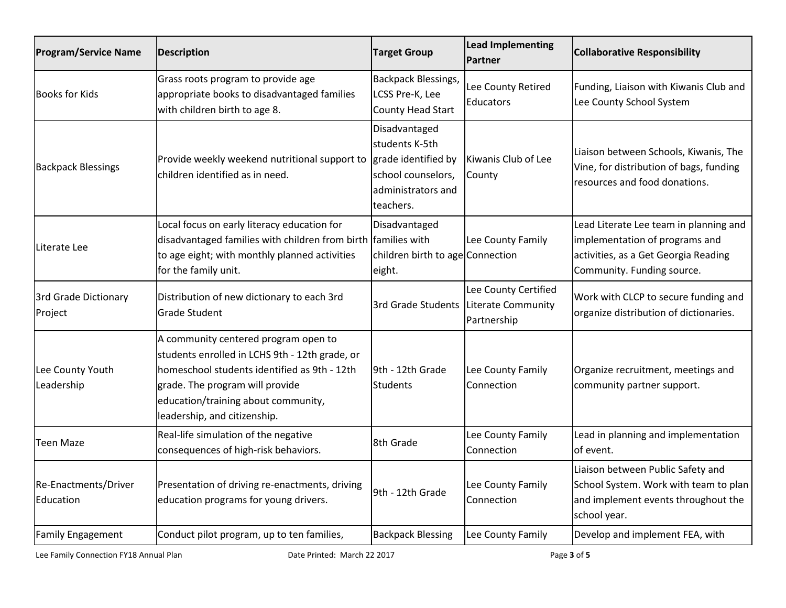| <b>Program/Service Name</b>       | <b>Description</b>                                                                                                                                                                                                                               | <b>Target Group</b>                                                                                             | <b>Lead Implementing</b><br>Partner                                          | <b>Collaborative Responsibility</b>                                                                                                            |
|-----------------------------------|--------------------------------------------------------------------------------------------------------------------------------------------------------------------------------------------------------------------------------------------------|-----------------------------------------------------------------------------------------------------------------|------------------------------------------------------------------------------|------------------------------------------------------------------------------------------------------------------------------------------------|
| <b>Books for Kids</b>             | Grass roots program to provide age<br>appropriate books to disadvantaged families<br>with children birth to age 8.                                                                                                                               | <b>Backpack Blessings,</b><br>LCSS Pre-K, Lee<br><b>County Head Start</b>                                       | Lee County Retired<br>Educators                                              | Funding, Liaison with Kiwanis Club and<br>Lee County School System                                                                             |
| <b>Backpack Blessings</b>         | Provide weekly weekend nutritional support to<br>children identified as in need.                                                                                                                                                                 | Disadvantaged<br>students K-5th<br>grade identified by<br>school counselors,<br>administrators and<br>teachers. | Kiwanis Club of Lee<br>County                                                | Liaison between Schools, Kiwanis, The<br>Vine, for distribution of bags, funding<br>resources and food donations.                              |
| Literate Lee                      | Local focus on early literacy education for<br>disadvantaged families with children from birth families with<br>to age eight; with monthly planned activities<br>for the family unit.                                                            | Disadvantaged<br>children birth to age Connection<br>eight.                                                     | Lee County Family                                                            | Lead Literate Lee team in planning and<br>implementation of programs and<br>activities, as a Get Georgia Reading<br>Community. Funding source. |
| 3rd Grade Dictionary<br>Project   | Distribution of new dictionary to each 3rd<br><b>Grade Student</b>                                                                                                                                                                               |                                                                                                                 | Lee County Certified<br>3rd Grade Students Literate Community<br>Partnership | Work with CLCP to secure funding and<br>organize distribution of dictionaries.                                                                 |
| Lee County Youth<br>Leadership    | A community centered program open to<br>students enrolled in LCHS 9th - 12th grade, or<br>homeschool students identified as 9th - 12th<br>grade. The program will provide<br>education/training about community,<br>leadership, and citizenship. | 9th - 12th Grade<br>Students                                                                                    | Lee County Family<br>Connection                                              | Organize recruitment, meetings and<br>community partner support.                                                                               |
| Teen Maze                         | Real-life simulation of the negative<br>consequences of high-risk behaviors.                                                                                                                                                                     | 8th Grade                                                                                                       | Lee County Family<br>Connection                                              | Lead in planning and implementation<br>of event.                                                                                               |
| Re-Enactments/Driver<br>Education | Presentation of driving re-enactments, driving<br>education programs for young drivers.                                                                                                                                                          | 9th - 12th Grade                                                                                                | Lee County Family<br>Connection                                              | Liaison between Public Safety and<br>School System. Work with team to plan<br>and implement events throughout the<br>school year.              |
| <b>Family Engagement</b>          | Conduct pilot program, up to ten families,                                                                                                                                                                                                       | <b>Backpack Blessing</b>                                                                                        | Lee County Family                                                            | Develop and implement FEA, with                                                                                                                |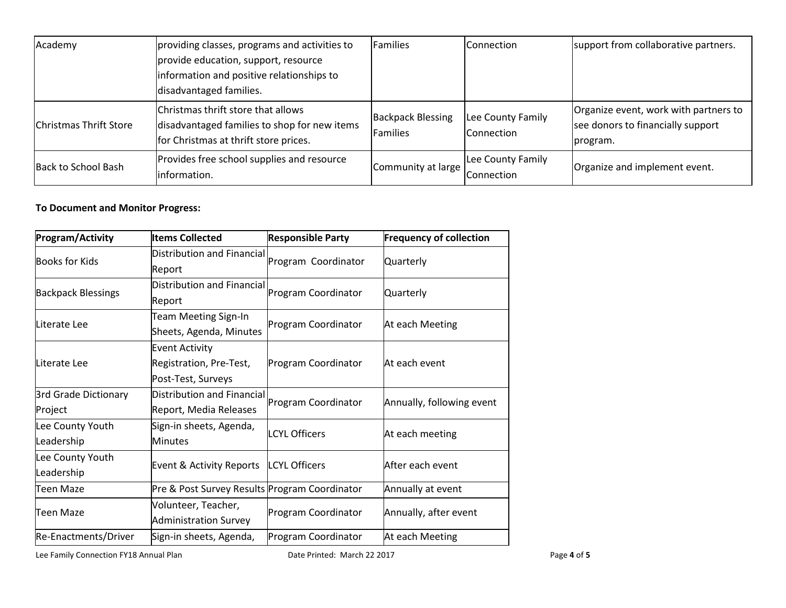| Academy                       | providing classes, programs and activities to<br>provide education, support, resource<br>information and positive relationships to<br>disadvantaged families. | Families                             | Connection                      | support from collaborative partners.                                                   |
|-------------------------------|---------------------------------------------------------------------------------------------------------------------------------------------------------------|--------------------------------------|---------------------------------|----------------------------------------------------------------------------------------|
| <b>Christmas Thrift Store</b> | Christmas thrift store that allows<br>disadvantaged families to shop for new items<br>for Christmas at thrift store prices.                                   | <b>Backpack Blessing</b><br>Families | Lee County Family<br>Connection | Organize event, work with partners to<br>see donors to financially support<br>program. |
| Back to School Bash           | Provides free school supplies and resource<br>information.                                                                                                    | Community at large                   | Lee County Family<br>Connection | Organize and implement event.                                                          |

## **To Document and Monitor Progress:**

| Program/Activity                | litems Collected                                                       | <b>Responsible Party</b> | <b>Frequency of collection</b> |
|---------------------------------|------------------------------------------------------------------------|--------------------------|--------------------------------|
| <b>Books for Kids</b>           | Distribution and Financial<br>Report                                   | Program Coordinator      | Quarterly                      |
| <b>Backpack Blessings</b>       | Distribution and Financial<br>Report                                   | Program Coordinator      | Quarterly                      |
| Literate Lee                    | <b>Team Meeting Sign-In</b><br>Sheets, Agenda, Minutes                 | Program Coordinator      | At each Meeting                |
| Literate Lee                    | <b>Event Activity</b><br>Registration, Pre-Test,<br>Post-Test, Surveys | Program Coordinator      | At each event                  |
| 3rd Grade Dictionary<br>Project | Distribution and Financial<br>Report, Media Releases                   | Program Coordinator      | Annually, following event      |
| Lee County Youth<br>Leadership  | Sign-in sheets, Agenda,<br><b>Minutes</b>                              | <b>LCYL Officers</b>     | At each meeting                |
| Lee County Youth<br>Leadership  | Event & Activity Reports                                               | <b>LCYL Officers</b>     | After each event               |
| Teen Maze                       | Pre & Post Survey Results Program Coordinator                          |                          | Annually at event              |
| Teen Maze                       | Volunteer, Teacher,<br><b>Administration Survey</b>                    | Program Coordinator      | Annually, after event          |
| Re-Enactments/Driver            | Sign-in sheets, Agenda,                                                | Program Coordinator      | At each Meeting                |

Lee Family Connection FY18 Annual Plan **Date Printed: March 22 2017** Page 4 of 5